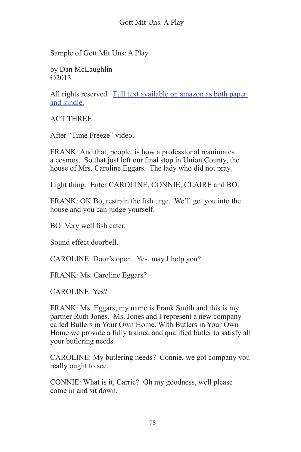Sample of Gott Mit Uns: A Play

by Dan McLaughlin ©2013

All rights reserved. Full text available on amazon as both paper and kindle.

ACT THREE

After "Time Freeze" video.

FRANK: And that, people, is how a professional reanimates a cosmos. So that just left our final stop in Union County, the house of Mrs. Caroline Eggars. The lady who did not pray.

Light thing. Enter CAROLINE, CONNIE, CLAIRE and BO.

FRANK: OK Bo, restrain the fish urge. We'll get you into the house and you can judge yourself.

BO: Very well fish eater.

Sound effect doorbell.

CAROLINE: Door's open. Yes, may I help you?

FRANK: Ms. Caroline Eggars?

CAROLINE: Yes?

FRANK: Ms. Eggars, my name is Frank Smith and this is my partner Ruth Jones. Ms. Jones and I represent a new company called Butlers in Your Own Home. With Butlers in Your Own Home we provide a fully trained and qualified butler to satisfy all your butlering needs.

CAROLINE: My butlering needs? Connie, we got company you really ought to see.

CONNIE: What is it, Carrie? Oh my goodness, well please come in and sit down.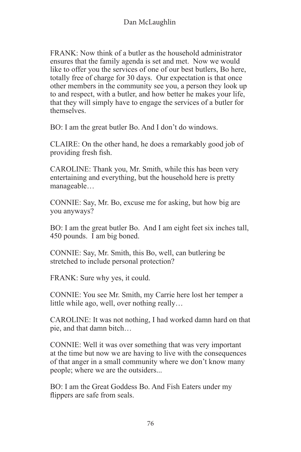$FRANK: Now think of a butter as the household administrator$ ensures that the family agenda is set and met. Now we would like to offer you the services of one of our best butlers, Bo here, totally free of charge for 30 days. Our expectation is that once other members in the community see you, a person they look up to and respect, with a butler, and how better he makes your life, that they will simply have to engage the services of a butler for themselves.

BO: I am the great butler Bo. And I don't do windows.

CLAIRE: On the other hand, he does a remarkably good job of providing fresh fish.

CAROLINE: Thank you, Mr. Smith, while this has been very entertaining and everything, but the household here is pretty manageable…

CONNIE: Say, Mr. Bo, excuse me for asking, but how big are you anyways?

BO: I am the great butler Bo. And I am eight feet six inches tall, 450 pounds. I am big boned.

CONNIE: Say, Mr. Smith, this Bo, well, can butlering be stretched to include personal protection?

FRANK: Sure why yes, it could.

CONNIE: You see Mr. Smith, my Carrie here lost her temper a little while ago, well, over nothing really…

CAROLINE: It was not nothing, I had worked damn hard on that pie, and that damn bitch…

CONNIE: Well it was over something that was very important at the time but now we are having to live with the consequences of that anger in a small community where we don't know many people; where we are the outsiders...

BO: I am the Great Goddess Bo. And Fish Eaters under my flippers are safe from seals.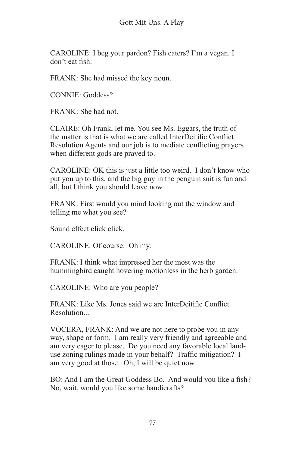CAROLINE: I beg your pardon? Fish eaters? I'm a vegan. I don't eat fish.

FRANK: She had missed the key noun.

CONNIE: Goddess?

FRANK: She had not.

CLAIRE: Oh Frank, let me. You see Ms. Eggars, the truth of the matter is that is what we are called InterDeitific Conflict Resolution Agents and our job is to mediate conflicting prayers when different gods are prayed to.

CAROLINE: OK this is just a little too weird. I don't know who put you up to this, and the big guy in the penguin suit is fun and all, but I think you should leave now.

FRANK: First would you mind looking out the window and telling me what you see?

Sound effect click click.

CAROLINE: Of course. Oh my.

FRANK: I think what impressed her the most was the hummingbird caught hovering motionless in the herb garden.

CAROLINE: Who are you people?

FRANK: Like Ms. Jones said we are InterDeitific Conflict **Resolution** 

VOCERA, FRANK: And we are not here to probe you in any way, shape or form. I am really very friendly and agreeable and am very eager to please. Do you need any favorable local landuse zoning rulings made in your behalf? Traffic mitigation? I am very good at those. Oh, I will be quiet now.

BO: And I am the Great Goddess Bo. And would you like a fish? No, wait, would you like some handicrafts?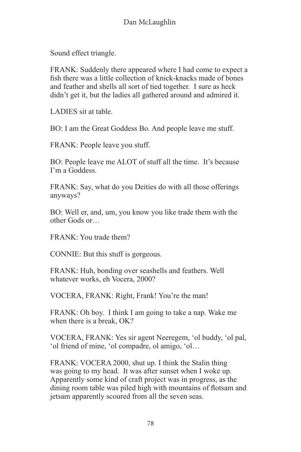Sound effect triangle.

FRANK: Suddenly there appeared where I had come to expect a fish there was a little collection of knick-knacks made of bones and feather and shells all sort of tied together. I sure as heck didn't get it, but the ladies all gathered around and admired it.

LADIES sit at table.

BO: I am the Great Goddess Bo. And people leave me stuff.

FRANK: People leave you stuff.

BO: People leave me ALOT of stuff all the time. It's because I'm a Goddess.

FRANK: Say, what do you Deities do with all those offerings anyways?

BO: Well er, and, um, you know you like trade them with the other Gods or…

FRANK: You trade them?

CONNIE: But this stuff is gorgeous.

FRANK: Huh, bonding over seashells and feathers. Well whatever works, eh Vocera, 2000?

VOCERA, FRANK: Right, Frank! You're the man!

FRANK: Oh boy. I think I am going to take a nap. Wake me when there is a break, OK?

VOCERA, FRANK: Yes sir agent Neeregem, 'ol buddy, 'ol pal, 'ol friend of mine, 'ol compadre, ol amigo, 'ol…

FRANK: VOCERA 2000, shut up. I think the Stalin thing was going to my head. It was after sunset when I woke up. Apparently some kind of craft project was in progress, as the dining room table was piled high with mountains of flotsam and jetsam apparently scoured from all the seven seas.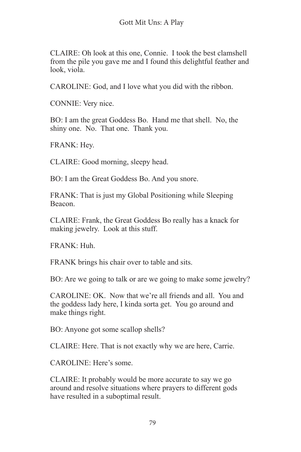CLAIRE: Oh look at this one, Connie. I took the best clamshell from the pile you gave me and I found this delightful feather and look, viola.

CAROLINE: God, and I love what you did with the ribbon.

CONNIE: Very nice.

BO: I am the great Goddess Bo. Hand me that shell. No, the shiny one. No. That one. Thank you.

FRANK: Hey.

CLAIRE: Good morning, sleepy head.

BO: I am the Great Goddess Bo. And you snore.

FRANK: That is just my Global Positioning while Sleeping Beacon.

CLAIRE: Frank, the Great Goddess Bo really has a knack for making jewelry. Look at this stuff.

FRANK: Huh.

FRANK brings his chair over to table and sits.

BO: Are we going to talk or are we going to make some jewelry?

CAROLINE: OK. Now that we're all friends and all. You and the goddess lady here, I kinda sorta get. You go around and make things right.

BO: Anyone got some scallop shells?

CLAIRE: Here. That is not exactly why we are here, Carrie.

CAROLINE: Here's some.

CLAIRE: It probably would be more accurate to say we go around and resolve situations where prayers to different gods have resulted in a suboptimal result.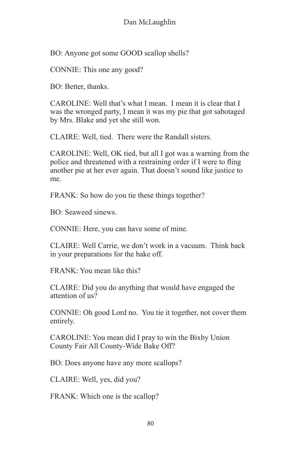BO: Anyone got some GOOD scallop shells?

CONNIE: This one any good?

BO: Better, thanks.

CAROLINE: Well that's what I mean. I mean it is clear that I was the wronged party, I mean it was my pie that got sabotaged by Mrs. Blake and yet she still won.

CLAIRE: Well, tied. There were the Randall sisters.

CAROLINE: Well, OK tied, but all I got was a warning from the police and threatened with a restraining order if I were to fling another pie at her ever again. That doesn't sound like justice to me.

FRANK: So how do you tie these things together?

BO: Seaweed sinews.

CONNIE: Here, you can have some of mine.

CLAIRE: Well Carrie, we don't work in a vacuum. Think back in your preparations for the bake off.

FRANK: You mean like this?

CLAIRE: Did you do anything that would have engaged the attention of us?

CONNIE: Oh good Lord no. You tie it together, not cover them entirely.

CAROLINE: You mean did I pray to win the Bixby Union County Fair All County-Wide Bake Off?

BO: Does anyone have any more scallops?

CLAIRE: Well, yes, did you?

FRANK: Which one is the scallop?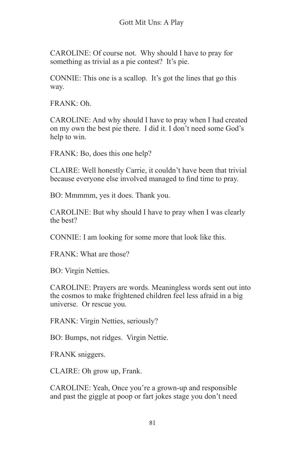CAROLINE: Of course not. Why should I have to pray for something as trivial as a pie contest? It's pie.

CONNIE: This one is a scallop. It's got the lines that go this way.

 $FRANK: Oh$ 

CAROLINE: And why should I have to pray when I had created on my own the best pie there. I did it. I don't need some God's help to win.

FRANK: Bo, does this one help?

CLAIRE: Well honestly Carrie, it couldn't have been that trivial because everyone else involved managed to find time to pray.

BO: Mmmmm, yes it does. Thank you.

CAROLINE: But why should I have to pray when I was clearly the best?

CONNIE: I am looking for some more that look like this.

FRANK: What are those?

BO: Virgin Netties.

CAROLINE: Prayers are words. Meaningless words sent out into the cosmos to make frightened children feel less afraid in a big universe. Or rescue you.

FRANK: Virgin Netties, seriously?

BO: Bumps, not ridges. Virgin Nettie.

FRANK sniggers.

CLAIRE: Oh grow up, Frank.

CAROLINE: Yeah, Once you're a grown-up and responsible and past the giggle at poop or fart jokes stage you don't need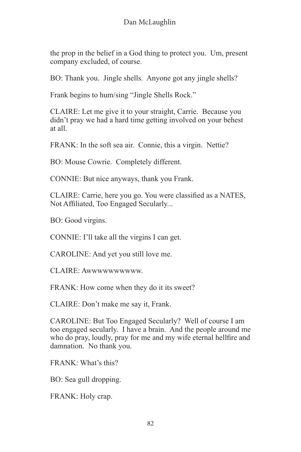the prop in the belief in a God thing to protect you. Um, present company excluded, of course.

BO: Thank you. Jingle shells. Anyone got any jingle shells?

Frank begins to hum/sing "Jingle Shells Rock."

CLAIRE: Let me give it to your straight, Carrie. Because you didn't pray we had a hard time getting involved on your behest at all.

FRANK: In the soft sea air. Connie, this a virgin. Nettie?

BO: Mouse Cowrie. Completely different.

CONNIE: But nice anyways, thank you Frank.

CLAIRE: Carrie, here you go. You were classified as a NATES, Not Affiliated, Too Engaged Secularly...

BO: Good virgins.

CONNIE: I'll take all the virgins I can get.

CAROLINE: And yet you still love me.

CLAIRE: Awwwwwwwwww.

FRANK: How come when they do it its sweet?

CLAIRE: Don't make me say it, Frank.

CAROLINE: But Too Engaged Secularly? Well of course I am too engaged secularly. I have a brain. And the people around me who do pray, loudly, pray for me and my wife eternal hellfire and damnation. No thank you.

FRANK: What's this?

BO: Sea gull dropping.

FRANK: Holy crap.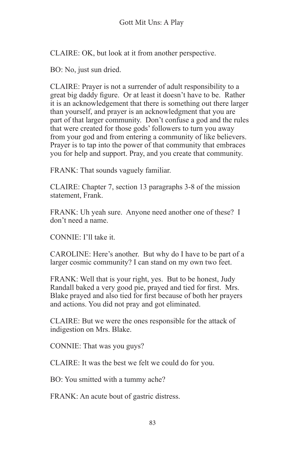CLAIRE: OK, but look at it from another perspective.

BO: No, just sun dried.

CLAIRE: Prayer is not a surrender of adult responsibility to a great big daddy figure. Or at least it doesn't have to be. Rather it is an acknowledgement that there is something out there larger than yourself, and prayer is an acknowledgment that you are part of that larger community. Don't confuse a god and the rules that were created for those gods' followers to turn you away from your god and from entering a community of like believers. Prayer is to tap into the power of that community that embraces you for help and support. Pray, and you create that community.

FRANK: That sounds vaguely familiar.

CLAIRE: Chapter 7, section 13 paragraphs 3-8 of the mission statement, Frank.

FRANK: Uh yeah sure. Anyone need another one of these? I don't need a name.

CONNIE: I'll take it.

CAROLINE: Here's another. But why do I have to be part of a larger cosmic community? I can stand on my own two feet.

FRANK: Well that is your right, yes. But to be honest, Judy Randall baked a very good pie, prayed and tied for first. Mrs. Blake prayed and also tied for first because of both her prayers and actions. You did not pray and got eliminated.

CLAIRE: But we were the ones responsible for the attack of indigestion on Mrs. Blake.

CONNIE: That was you guys?

CLAIRE: It was the best we felt we could do for you.

BO: You smitted with a tummy ache?

FRANK: An acute bout of gastric distress.